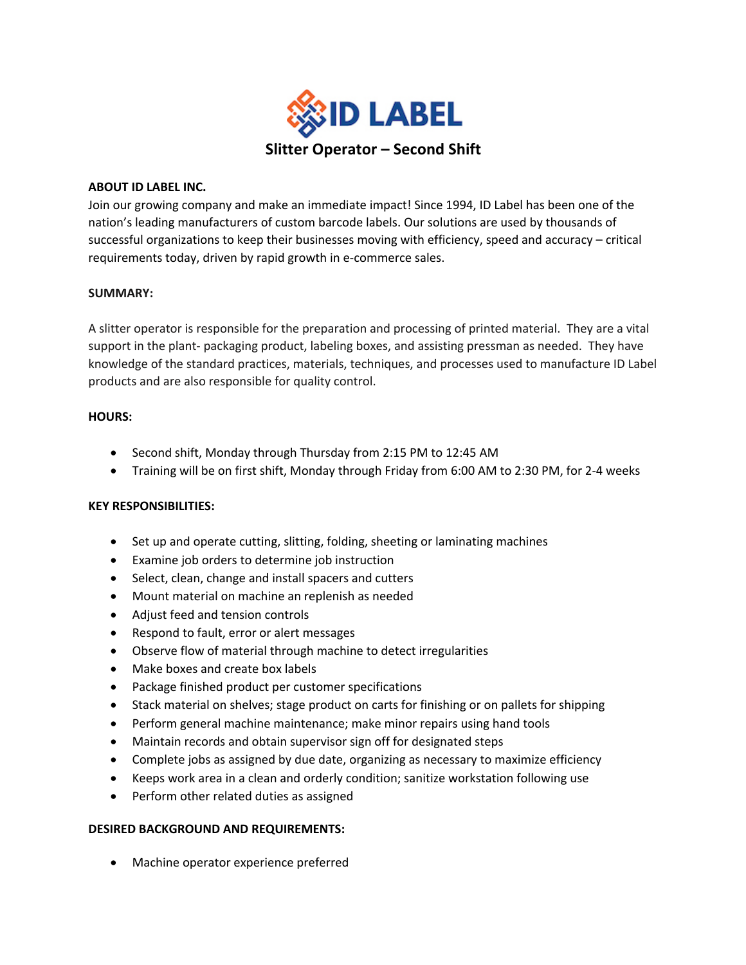

### **ABOUT ID LABEL INC.**

Join our growing company and make an immediate impact! Since 1994, ID Label has been one of the nation's leading manufacturers of custom barcode labels. Our solutions are used by thousands of successful organizations to keep their businesses moving with efficiency, speed and accuracy – critical requirements today, driven by rapid growth in e-commerce sales.

# **SUMMARY:**

A slitter operator is responsible for the preparation and processing of printed material. They are a vital support in the plant- packaging product, labeling boxes, and assisting pressman as needed. They have knowledge of the standard practices, materials, techniques, and processes used to manufacture ID Label products and are also responsible for quality control.

### **HOURS:**

- Second shift, Monday through Thursday from 2:15 PM to 12:45 AM
- Training will be on first shift, Monday through Friday from 6:00 AM to 2:30 PM, for 2-4 weeks

# **KEY RESPONSIBILITIES:**

- Set up and operate cutting, slitting, folding, sheeting or laminating machines
- Examine job orders to determine job instruction
- Select, clean, change and install spacers and cutters
- Mount material on machine an replenish as needed
- Adjust feed and tension controls
- Respond to fault, error or alert messages
- Observe flow of material through machine to detect irregularities
- Make boxes and create box labels
- Package finished product per customer specifications
- Stack material on shelves; stage product on carts for finishing or on pallets for shipping
- Perform general machine maintenance; make minor repairs using hand tools
- Maintain records and obtain supervisor sign off for designated steps
- Complete jobs as assigned by due date, organizing as necessary to maximize efficiency
- Keeps work area in a clean and orderly condition; sanitize workstation following use
- Perform other related duties as assigned

# **DESIRED BACKGROUND AND REQUIREMENTS:**

• Machine operator experience preferred